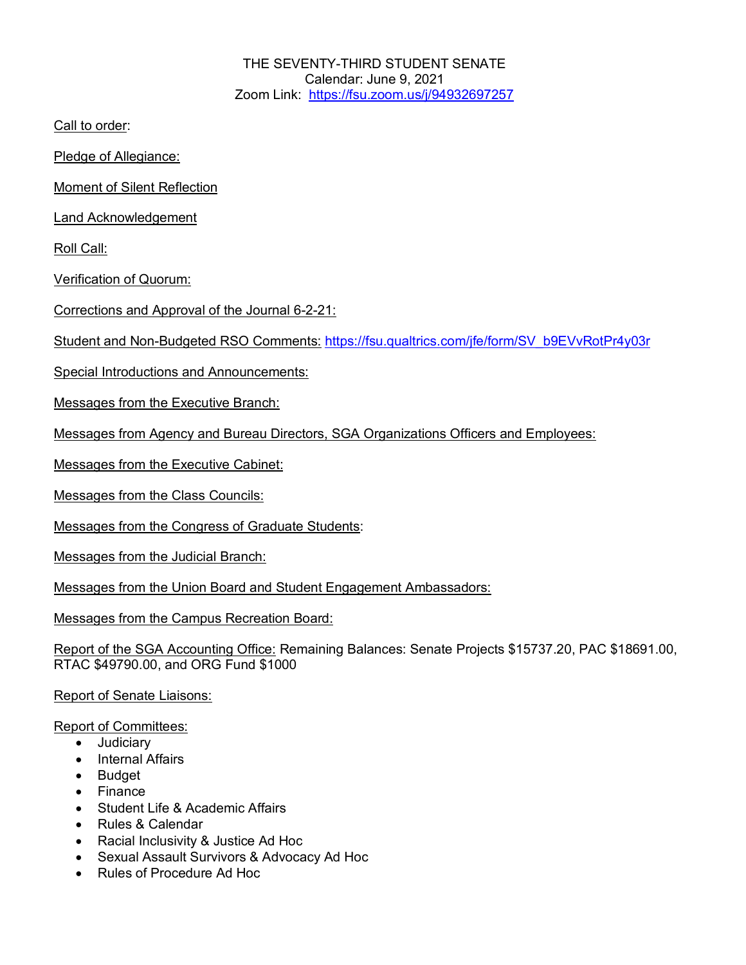THE SEVENTY-THIRD STUDENT SENATE Calendar: June 9, 2021 Zoom Link: https://fsu.zoom.us/j/94932697257

Call to order:

Pledge of Allegiance:

Moment of Silent Reflection

Land Acknowledgement

Roll Call:

Verification of Quorum:

Corrections and Approval of the Journal 6-2-21:

Student and Non-Budgeted RSO Comments: https://fsu.qualtrics.com/jfe/form/SV\_b9EVvRotPr4y03r

Special Introductions and Announcements:

Messages from the Executive Branch:

Messages from Agency and Bureau Directors, SGA Organizations Officers and Employees:

Messages from the Executive Cabinet:

Messages from the Class Councils:

Messages from the Congress of Graduate Students:

Messages from the Judicial Branch:

Messages from the Union Board and Student Engagement Ambassadors:

Messages from the Campus Recreation Board:

Report of the SGA Accounting Office: Remaining Balances: Senate Projects \$15737.20, PAC \$18691.00, RTAC \$49790.00, and ORG Fund \$1000

Report of Senate Liaisons:

Report of Committees:

- Judiciary
- Internal Affairs
- Budget
- Finance
- Student Life & Academic Affairs
- Rules & Calendar
- Racial Inclusivity & Justice Ad Hoc
- Sexual Assault Survivors & Advocacy Ad Hoc
- Rules of Procedure Ad Hoc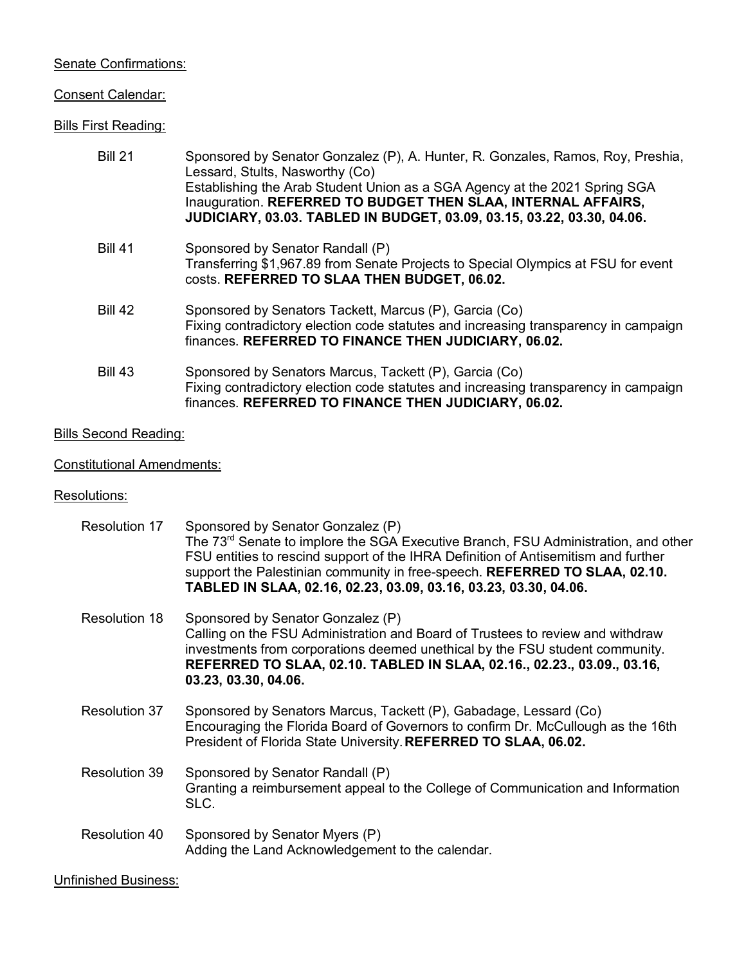# Senate Confirmations:

#### Consent Calendar:

# Bills First Reading:

| <b>Bill 21</b> | Sponsored by Senator Gonzalez (P), A. Hunter, R. Gonzales, Ramos, Roy, Preshia,<br>Lessard, Stults, Nasworthy (Co)<br>Establishing the Arab Student Union as a SGA Agency at the 2021 Spring SGA<br>Inauguration. REFERRED TO BUDGET THEN SLAA, INTERNAL AFFAIRS,<br>JUDICIARY, 03.03. TABLED IN BUDGET, 03.09, 03.15, 03.22, 03.30, 04.06. |
|----------------|---------------------------------------------------------------------------------------------------------------------------------------------------------------------------------------------------------------------------------------------------------------------------------------------------------------------------------------------|
| <b>Bill 41</b> | Sponsored by Senator Randall (P)<br>Transferring \$1,967.89 from Senate Projects to Special Olympics at FSU for event<br>costs. REFERRED TO SLAA THEN BUDGET, 06.02.                                                                                                                                                                        |
| <b>Bill 42</b> | Sponsored by Senators Tackett, Marcus (P), Garcia (Co)<br>Fixing contradictory election code statutes and increasing transparency in campaign<br>finances. REFERRED TO FINANCE THEN JUDICIARY, 06.02.                                                                                                                                       |
| <b>Bill 43</b> | Sponsored by Senators Marcus, Tackett (P), Garcia (Co)<br>Fixing contradictory election code statutes and increasing transparency in campaign<br>finances. REFERRED TO FINANCE THEN JUDICIARY, 06.02.                                                                                                                                       |

# **Bills Second Reading:**

# Constitutional Amendments:

#### Resolutions:

| Resolution 17        | Sponsored by Senator Gonzalez (P)<br>The 73 <sup>rd</sup> Senate to implore the SGA Executive Branch, FSU Administration, and other<br>FSU entities to rescind support of the IHRA Definition of Antisemitism and further<br>support the Palestinian community in free-speech. REFERRED TO SLAA, 02.10.<br>TABLED IN SLAA, 02.16, 02.23, 03.09, 03.16, 03.23, 03.30, 04.06. |
|----------------------|-----------------------------------------------------------------------------------------------------------------------------------------------------------------------------------------------------------------------------------------------------------------------------------------------------------------------------------------------------------------------------|
| Resolution 18        | Sponsored by Senator Gonzalez (P)<br>Calling on the FSU Administration and Board of Trustees to review and withdraw<br>investments from corporations deemed unethical by the FSU student community.<br>REFERRED TO SLAA, 02.10. TABLED IN SLAA, 02.16., 02.23., 03.09., 03.16,<br>03.23, 03.30, 04.06.                                                                      |
| Resolution 37        | Sponsored by Senators Marcus, Tackett (P), Gabadage, Lessard (Co)<br>Encouraging the Florida Board of Governors to confirm Dr. McCullough as the 16th<br>President of Florida State University. REFERRED TO SLAA, 06.02.                                                                                                                                                    |
| <b>Resolution 39</b> | Sponsored by Senator Randall (P)<br>Granting a reimbursement appeal to the College of Communication and Information<br>SLC.                                                                                                                                                                                                                                                 |
| Resolution 40        | Sponsored by Senator Myers (P)<br>Adding the Land Acknowledgement to the calendar.                                                                                                                                                                                                                                                                                          |

# Unfinished Business: